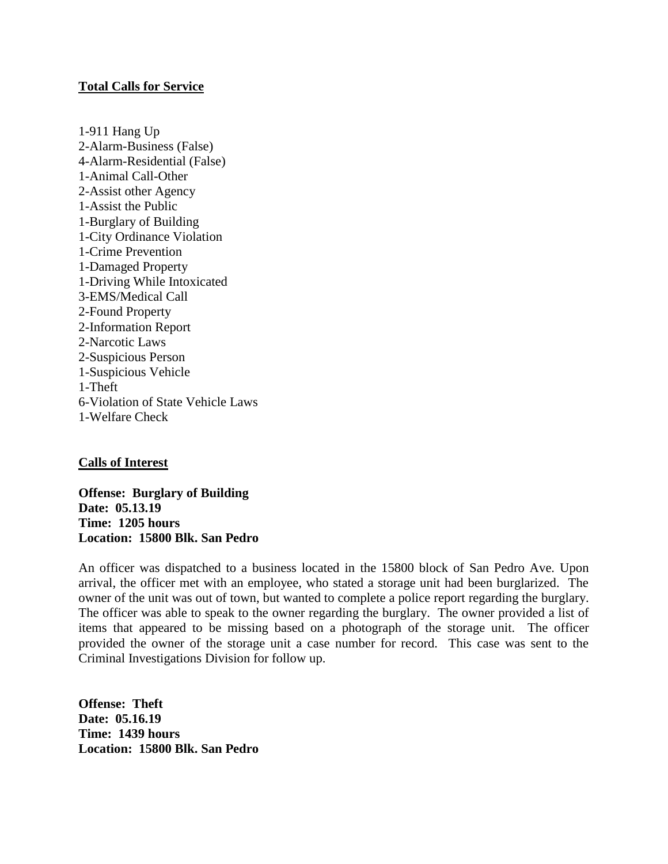### **Total Calls for Service**

1-911 Hang Up 2-Alarm-Business (False) 4-Alarm-Residential (False) 1-Animal Call-Other 2-Assist other Agency 1-Assist the Public 1-Burglary of Building 1-City Ordinance Violation 1-Crime Prevention 1-Damaged Property 1-Driving While Intoxicated 3-EMS/Medical Call 2-Found Property 2-Information Report 2-Narcotic Laws 2-Suspicious Person 1-Suspicious Vehicle 1-Theft 6-Violation of State Vehicle Laws 1-Welfare Check

#### **Calls of Interest**

**Offense: Burglary of Building Date: 05.13.19 Time: 1205 hours Location: 15800 Blk. San Pedro**

An officer was dispatched to a business located in the 15800 block of San Pedro Ave. Upon arrival, the officer met with an employee, who stated a storage unit had been burglarized. The owner of the unit was out of town, but wanted to complete a police report regarding the burglary. The officer was able to speak to the owner regarding the burglary. The owner provided a list of items that appeared to be missing based on a photograph of the storage unit. The officer provided the owner of the storage unit a case number for record. This case was sent to the Criminal Investigations Division for follow up.

**Offense: Theft Date: 05.16.19 Time: 1439 hours Location: 15800 Blk. San Pedro**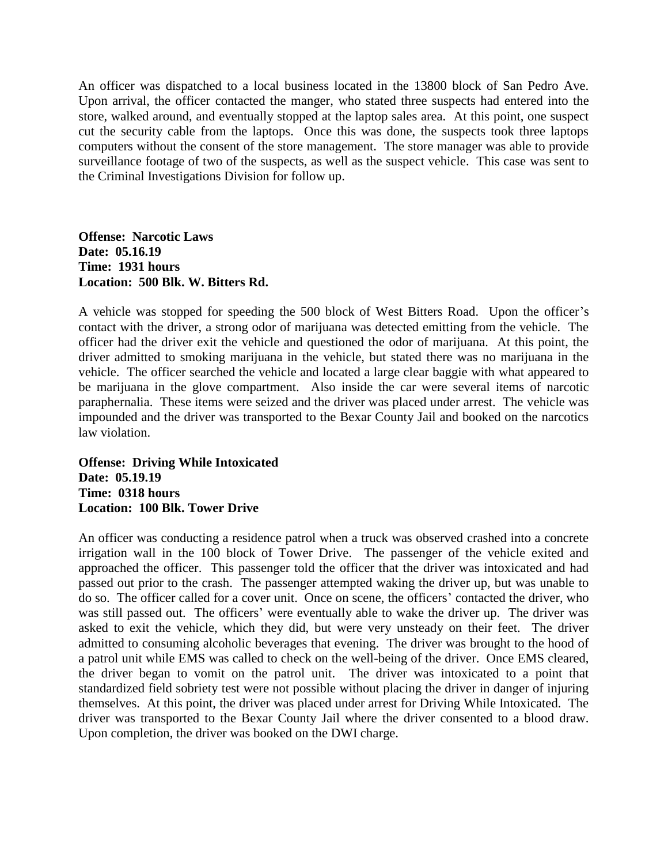An officer was dispatched to a local business located in the 13800 block of San Pedro Ave. Upon arrival, the officer contacted the manger, who stated three suspects had entered into the store, walked around, and eventually stopped at the laptop sales area. At this point, one suspect cut the security cable from the laptops. Once this was done, the suspects took three laptops computers without the consent of the store management. The store manager was able to provide surveillance footage of two of the suspects, as well as the suspect vehicle. This case was sent to the Criminal Investigations Division for follow up.

**Offense: Narcotic Laws Date: 05.16.19 Time: 1931 hours Location: 500 Blk. W. Bitters Rd.**

A vehicle was stopped for speeding the 500 block of West Bitters Road. Upon the officer's contact with the driver, a strong odor of marijuana was detected emitting from the vehicle. The officer had the driver exit the vehicle and questioned the odor of marijuana. At this point, the driver admitted to smoking marijuana in the vehicle, but stated there was no marijuana in the vehicle. The officer searched the vehicle and located a large clear baggie with what appeared to be marijuana in the glove compartment. Also inside the car were several items of narcotic paraphernalia. These items were seized and the driver was placed under arrest. The vehicle was impounded and the driver was transported to the Bexar County Jail and booked on the narcotics law violation.

**Offense: Driving While Intoxicated Date: 05.19.19 Time: 0318 hours Location: 100 Blk. Tower Drive** 

An officer was conducting a residence patrol when a truck was observed crashed into a concrete irrigation wall in the 100 block of Tower Drive. The passenger of the vehicle exited and approached the officer. This passenger told the officer that the driver was intoxicated and had passed out prior to the crash. The passenger attempted waking the driver up, but was unable to do so. The officer called for a cover unit. Once on scene, the officers' contacted the driver, who was still passed out. The officers' were eventually able to wake the driver up. The driver was asked to exit the vehicle, which they did, but were very unsteady on their feet. The driver admitted to consuming alcoholic beverages that evening. The driver was brought to the hood of a patrol unit while EMS was called to check on the well-being of the driver. Once EMS cleared, the driver began to vomit on the patrol unit. The driver was intoxicated to a point that standardized field sobriety test were not possible without placing the driver in danger of injuring themselves. At this point, the driver was placed under arrest for Driving While Intoxicated. The driver was transported to the Bexar County Jail where the driver consented to a blood draw. Upon completion, the driver was booked on the DWI charge.